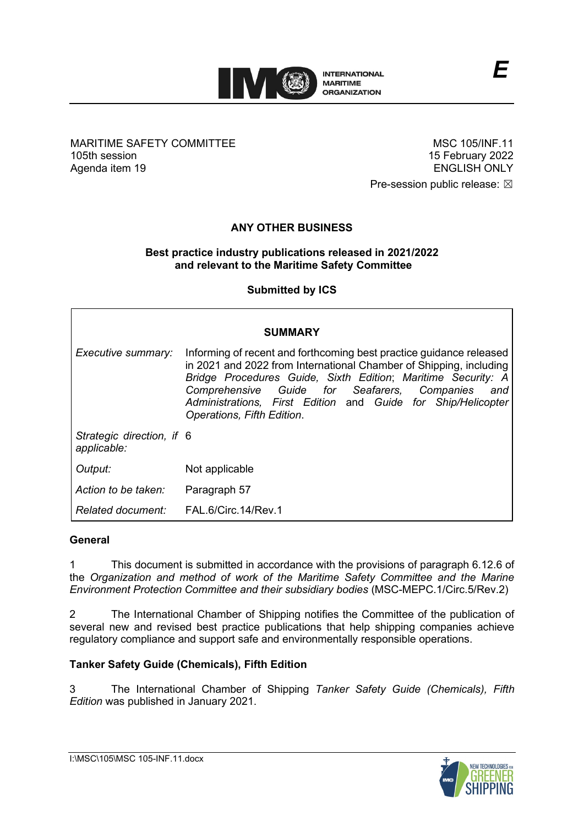

MARITIME SAFETY COMMITTEE 105th session Agenda item 19

MSC 105/INF.11 15 February 2022 ENGLISH ONLY

Pre-session public release:  $\boxtimes$ 

# **ANY OTHER BUSINESS**

### **Best practice industry publications released in 2021/2022 and relevant to the Maritime Safety Committee**

**Submitted by ICS**

| <b>SUMMARY</b>                           |                                                                                                                                                                                                                                                                                                                                                                |
|------------------------------------------|----------------------------------------------------------------------------------------------------------------------------------------------------------------------------------------------------------------------------------------------------------------------------------------------------------------------------------------------------------------|
| Executive summary:                       | Informing of recent and forthcoming best practice guidance released<br>in 2021 and 2022 from International Chamber of Shipping, including<br>Bridge Procedures Guide, Sixth Edition; Maritime Security: A<br>Comprehensive Guide for Seafarers, Companies<br>and<br>Administrations, First Edition and Guide for Ship/Helicopter<br>Operations, Fifth Edition. |
| Strategic direction, if 6<br>applicable: |                                                                                                                                                                                                                                                                                                                                                                |
| Output:                                  | Not applicable                                                                                                                                                                                                                                                                                                                                                 |
| Action to be taken:                      | Paragraph 57                                                                                                                                                                                                                                                                                                                                                   |
| Related document:                        | FAL.6/Circ.14/Rev.1                                                                                                                                                                                                                                                                                                                                            |

### **General**

1 This document is submitted in accordance with the provisions of paragraph 6.12.6 of the *Organization and method of work of the Maritime Safety Committee and the Marine Environment Protection Committee and their subsidiary bodies* (MSC-MEPC.1/Circ.5/Rev.2)

2 The International Chamber of Shipping notifies the Committee of the publication of several new and revised best practice publications that help shipping companies achieve regulatory compliance and support safe and environmentally responsible operations.

## **Tanker Safety Guide (Chemicals), Fifth Edition**

3 The International Chamber of Shipping *Tanker Safety Guide (Chemicals), Fifth Edition* was published in January 2021.

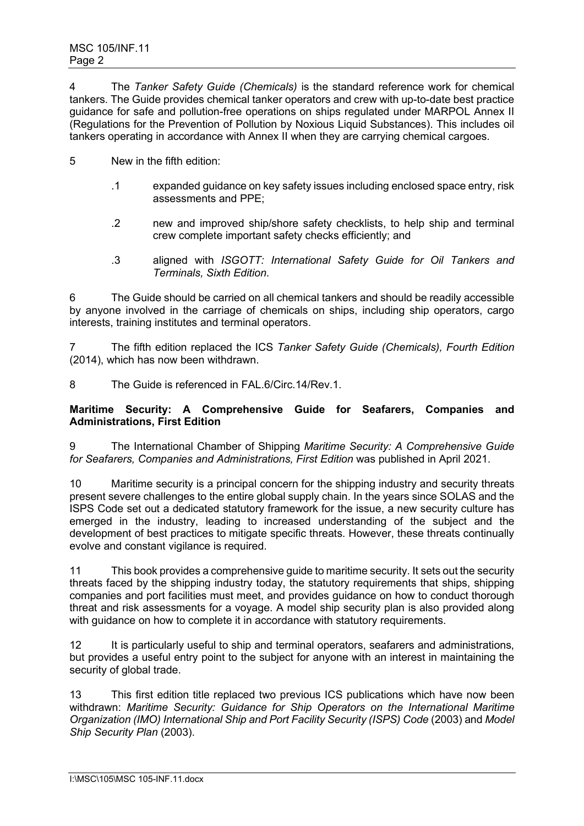4 The *Tanker Safety Guide (Chemicals)* is the standard reference work for chemical tankers. The Guide provides chemical tanker operators and crew with up-to-date best practice guidance for safe and pollution-free operations on ships regulated under MARPOL Annex II (Regulations for the Prevention of Pollution by Noxious Liquid Substances). This includes oil tankers operating in accordance with Annex II when they are carrying chemical cargoes.

- 5 New in the fifth edition:
	- .1 expanded guidance on key safety issues including enclosed space entry, risk assessments and PPE;
	- .2 new and improved ship/shore safety checklists, to help ship and terminal crew complete important safety checks efficiently; and
	- .3 aligned with *ISGOTT: International Safety Guide for Oil Tankers and Terminals, Sixth Edition*.

6 The Guide should be carried on all chemical tankers and should be readily accessible by anyone involved in the carriage of chemicals on ships, including ship operators, cargo interests, training institutes and terminal operators.

7 The fifth edition replaced the ICS *Tanker Safety Guide (Chemicals), Fourth Edition* (2014), which has now been withdrawn.

8 The Guide is referenced in FAL 6/Circ.14/Rev.1.

### **Maritime Security: A Comprehensive Guide for Seafarers, Companies and Administrations, First Edition**

9 The International Chamber of Shipping *Maritime Security: A Comprehensive Guide for Seafarers, Companies and Administrations, First Edition* was published in April 2021.

10 Maritime security is a principal concern for the shipping industry and security threats present severe challenges to the entire global supply chain. In the years since SOLAS and the ISPS Code set out a dedicated statutory framework for the issue, a new security culture has emerged in the industry, leading to increased understanding of the subject and the development of best practices to mitigate specific threats. However, these threats continually evolve and constant vigilance is required.

11 This book provides a comprehensive guide to maritime security. It sets out the security threats faced by the shipping industry today, the statutory requirements that ships, shipping companies and port facilities must meet, and provides guidance on how to conduct thorough threat and risk assessments for a voyage. A model ship security plan is also provided along with guidance on how to complete it in accordance with statutory requirements.

12 It is particularly useful to ship and terminal operators, seafarers and administrations, but provides a useful entry point to the subject for anyone with an interest in maintaining the security of global trade.

13 This first edition title replaced two previous ICS publications which have now been withdrawn: *Maritime Security: Guidance for Ship Operators on the International Maritime Organization (IMO) International Ship and Port Facility Security (ISPS) Code* (2003) and *Model Ship Security Plan* (2003).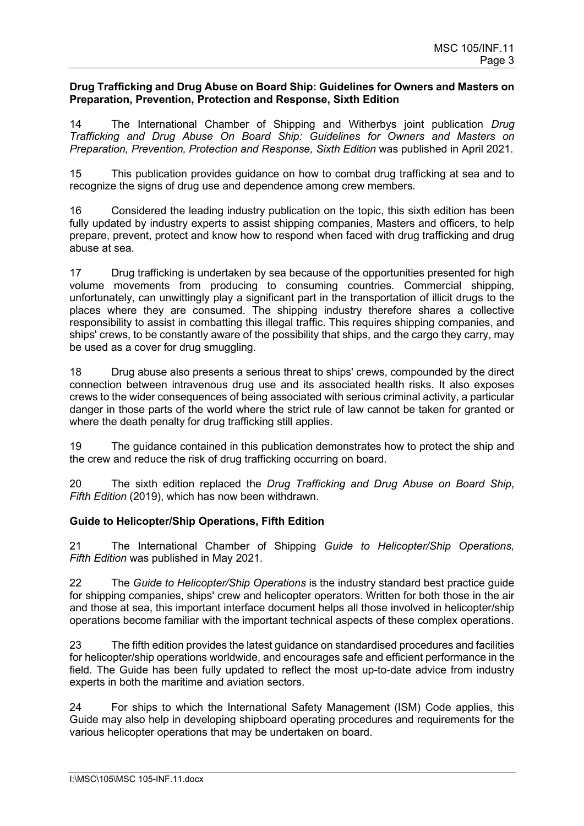#### **Drug Trafficking and Drug Abuse on Board Ship: Guidelines for Owners and Masters on Preparation, Prevention, Protection and Response, Sixth Edition**

14 The International Chamber of Shipping and Witherbys joint publication *Drug Trafficking and Drug Abuse On Board Ship: Guidelines for Owners and Masters on Preparation, Prevention, Protection and Response, Sixth Edition* was published in April 2021.

15 This publication provides guidance on how to combat drug trafficking at sea and to recognize the signs of drug use and dependence among crew members.

16 Considered the leading industry publication on the topic, this sixth edition has been fully updated by industry experts to assist shipping companies, Masters and officers, to help prepare, prevent, protect and know how to respond when faced with drug trafficking and drug abuse at sea.

17 Drug trafficking is undertaken by sea because of the opportunities presented for high volume movements from producing to consuming countries. Commercial shipping, unfortunately, can unwittingly play a significant part in the transportation of illicit drugs to the places where they are consumed. The shipping industry therefore shares a collective responsibility to assist in combatting this illegal traffic. This requires shipping companies, and ships' crews, to be constantly aware of the possibility that ships, and the cargo they carry, may be used as a cover for drug smuggling.

18 Drug abuse also presents a serious threat to ships' crews, compounded by the direct connection between intravenous drug use and its associated health risks. It also exposes crews to the wider consequences of being associated with serious criminal activity, a particular danger in those parts of the world where the strict rule of law cannot be taken for granted or where the death penalty for drug trafficking still applies.

19 The guidance contained in this publication demonstrates how to protect the ship and the crew and reduce the risk of drug trafficking occurring on board.

20 The sixth edition replaced the *Drug Trafficking and Drug Abuse on Board Ship*, *Fifth Edition* (2019), which has now been withdrawn.

## **Guide to Helicopter/Ship Operations, Fifth Edition**

21 The International Chamber of Shipping *Guide to Helicopter/Ship Operations, Fifth Edition* was published in May 2021.

22 The *Guide to Helicopter/Ship Operations* is the industry standard best practice guide for shipping companies, ships' crew and helicopter operators. Written for both those in the air and those at sea, this important interface document helps all those involved in helicopter/ship operations become familiar with the important technical aspects of these complex operations.

23 The fifth edition provides the latest guidance on standardised procedures and facilities for helicopter/ship operations worldwide, and encourages safe and efficient performance in the field. The Guide has been fully updated to reflect the most up-to-date advice from industry experts in both the maritime and aviation sectors.

24 For ships to which the International Safety Management (ISM) Code applies, this Guide may also help in developing shipboard operating procedures and requirements for the various helicopter operations that may be undertaken on board.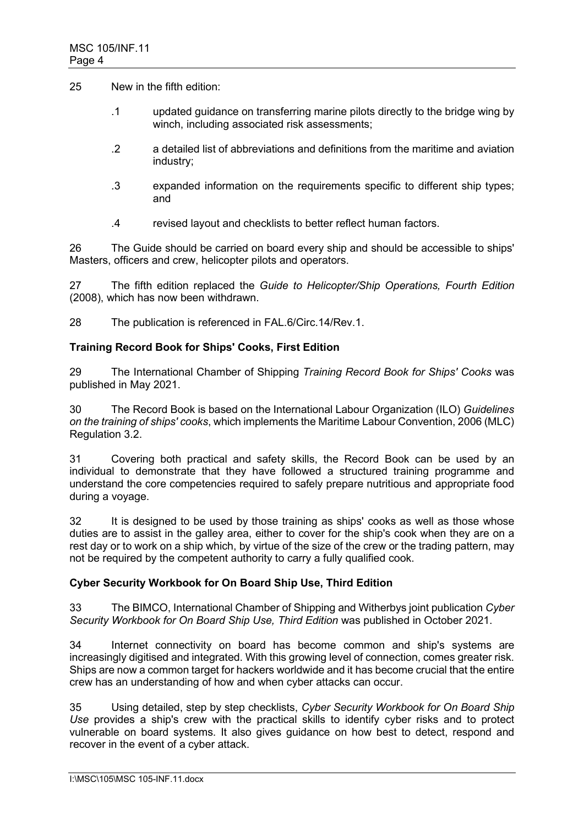25 New in the fifth edition:

- .1 updated guidance on transferring marine pilots directly to the bridge wing by winch, including associated risk assessments;
- .2 a detailed list of abbreviations and definitions from the maritime and aviation industry;
- .3 expanded information on the requirements specific to different ship types; and
- .4 revised layout and checklists to better reflect human factors.

26 The Guide should be carried on board every ship and should be accessible to ships' Masters, officers and crew, helicopter pilots and operators.

27 The fifth edition replaced the *Guide to Helicopter/Ship Operations, Fourth Edition*  (2008), which has now been withdrawn.

28 The publication is referenced in FAL.6/Circ.14/Rev.1.

### **Training Record Book for Ships' Cooks, First Edition**

29 The International Chamber of Shipping *Training Record Book for Ships' Cooks* was published in May 2021.

30 The Record Book is based on the International Labour Organization (ILO) *Guidelines on the training of ships' cooks*, which implements the Maritime Labour Convention, 2006 (MLC) Regulation 3.2.

31 Covering both practical and safety skills, the Record Book can be used by an individual to demonstrate that they have followed a structured training programme and understand the core competencies required to safely prepare nutritious and appropriate food during a voyage.

32 It is designed to be used by those training as ships' cooks as well as those whose duties are to assist in the galley area, either to cover for the ship's cook when they are on a rest day or to work on a ship which, by virtue of the size of the crew or the trading pattern, may not be required by the competent authority to carry a fully qualified cook.

## **Cyber Security Workbook for On Board Ship Use, Third Edition**

33 The BIMCO, International Chamber of Shipping and Witherbys joint publication *Cyber Security Workbook for On Board Ship Use, Third Edition* was published in October 2021.

34 Internet connectivity on board has become common and ship's systems are increasingly digitised and integrated. With this growing level of connection, comes greater risk. Ships are now a common target for hackers worldwide and it has become crucial that the entire crew has an understanding of how and when cyber attacks can occur.

35 Using detailed, step by step checklists, *Cyber Security Workbook for On Board Ship Use* provides a ship's crew with the practical skills to identify cyber risks and to protect vulnerable on board systems. It also gives guidance on how best to detect, respond and recover in the event of a cyber attack.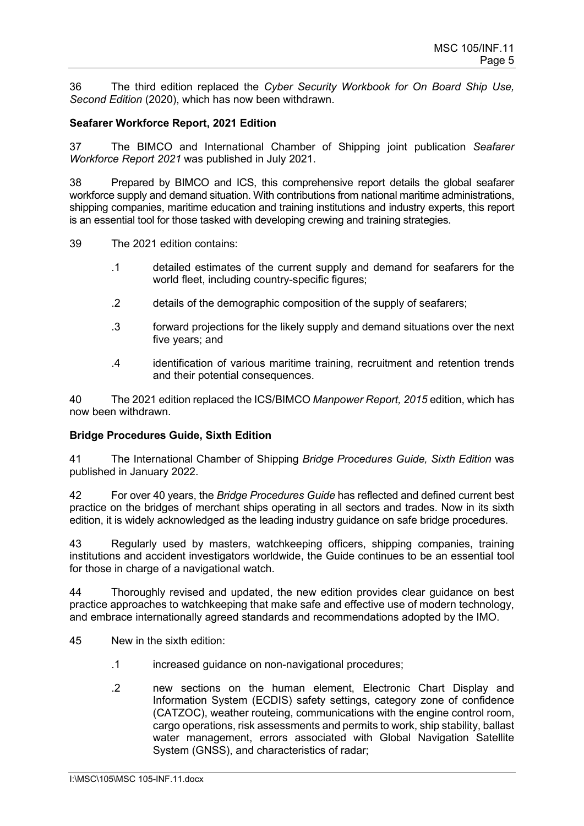36 The third edition replaced the *Cyber Security Workbook for On Board Ship Use, Second Edition* (2020), which has now been withdrawn.

### **Seafarer Workforce Report, 2021 Edition**

37 The BIMCO and International Chamber of Shipping joint publication *Seafarer Workforce Report 2021* was published in July 2021.

38 Prepared by BIMCO and ICS, this comprehensive report details the global seafarer workforce supply and demand situation. With contributions from national maritime administrations, shipping companies, maritime education and training institutions and industry experts, this report is an essential tool for those tasked with developing crewing and training strategies.

39 The 2021 edition contains:

- .1 detailed estimates of the current supply and demand for seafarers for the world fleet, including country-specific figures;
- .2 details of the demographic composition of the supply of seafarers;
- .3 forward projections for the likely supply and demand situations over the next five years; and
- .4 identification of various maritime training, recruitment and retention trends and their potential consequences.

40 The 2021 edition replaced the ICS/BIMCO *Manpower Report, 2015* edition, which has now been withdrawn.

### **Bridge Procedures Guide, Sixth Edition**

41 The International Chamber of Shipping *Bridge Procedures Guide, Sixth Edition* was published in January 2022.

42 For over 40 years, the *Bridge Procedures Guide* has reflected and defined current best practice on the bridges of merchant ships operating in all sectors and trades. Now in its sixth edition, it is widely acknowledged as the leading industry guidance on safe bridge procedures.

43 Regularly used by masters, watchkeeping officers, shipping companies, training institutions and accident investigators worldwide, the Guide continues to be an essential tool for those in charge of a navigational watch.

44 Thoroughly revised and updated, the new edition provides clear guidance on best practice approaches to watchkeeping that make safe and effective use of modern technology, and embrace internationally agreed standards and recommendations adopted by the IMO.

45 New in the sixth edition:

- .1 increased guidance on non-navigational procedures;
- .2 new sections on the human element, Electronic Chart Display and Information System (ECDIS) safety settings, category zone of confidence (CATZOC), weather routeing, communications with the engine control room, cargo operations, risk assessments and permits to work, ship stability, ballast water management, errors associated with Global Navigation Satellite System (GNSS), and characteristics of radar;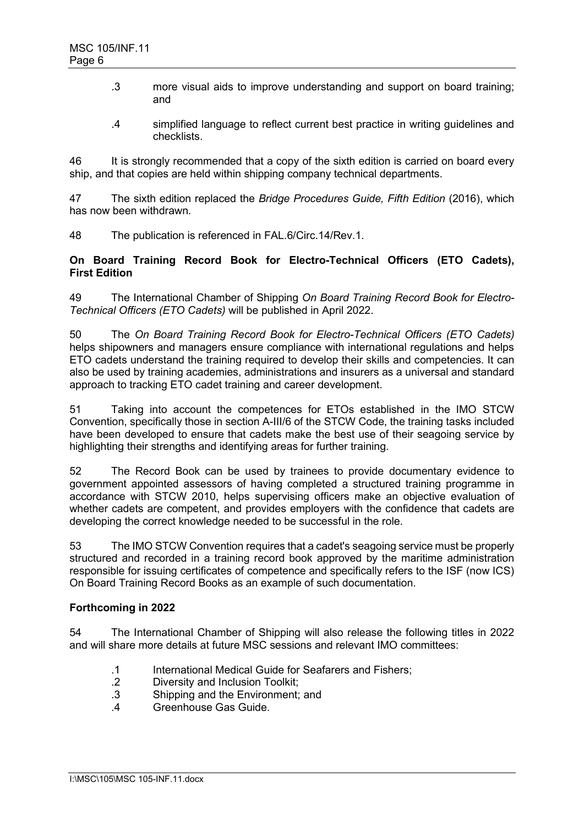- .3 more visual aids to improve understanding and support on board training; and
- .4 simplified language to reflect current best practice in writing guidelines and checklists.

46 It is strongly recommended that a copy of the sixth edition is carried on board every ship, and that copies are held within shipping company technical departments.

47 The sixth edition replaced the *Bridge Procedures Guide, Fifth Edition* (2016), which has now been withdrawn.

48 The publication is referenced in FAL.6/Circ.14/Rev.1.

### **On Board Training Record Book for Electro-Technical Officers (ETO Cadets), First Edition**

49 The International Chamber of Shipping *On Board Training Record Book for Electro-Technical Officers (ETO Cadets)* will be published in April 2022.

50 The *On Board Training Record Book for Electro-Technical Officers (ETO Cadets)* helps shipowners and managers ensure compliance with international regulations and helps ETO cadets understand the training required to develop their skills and competencies. It can also be used by training academies, administrations and insurers as a universal and standard approach to tracking ETO cadet training and career development.

51 Taking into account the competences for ETOs established in the IMO STCW Convention, specifically those in section A-III/6 of the STCW Code, the training tasks included have been developed to ensure that cadets make the best use of their seagoing service by highlighting their strengths and identifying areas for further training.

52 The Record Book can be used by trainees to provide documentary evidence to government appointed assessors of having completed a structured training programme in accordance with STCW 2010, helps supervising officers make an objective evaluation of whether cadets are competent, and provides employers with the confidence that cadets are developing the correct knowledge needed to be successful in the role.

53 The IMO STCW Convention requires that a cadet's seagoing service must be properly structured and recorded in a training record book approved by the maritime administration responsible for issuing certificates of competence and specifically refers to the ISF (now ICS) On Board Training Record Books as an example of such documentation.

### **Forthcoming in 2022**

54 The International Chamber of Shipping will also release the following titles in 2022 and will share more details at future MSC sessions and relevant IMO committees:

- .1 International Medical Guide for Seafarers and Fishers;<br>.2 Diversity and Inclusion Toolkit:
- Diversity and Inclusion Toolkit:
- .3 Shipping and the Environment; and
- .4 Greenhouse Gas Guide.